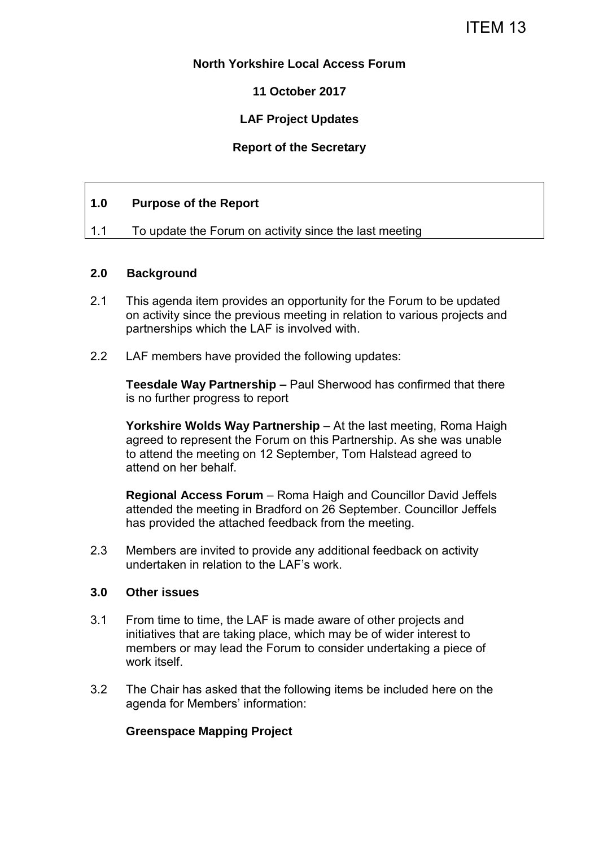## **North Yorkshire Local Access Forum**

**11 October 2017** 

## **LAF Project Updates**

## **Report of the Secretary**

## **1.0 Purpose of the Report**

1.1 To update the Forum on activity since the last meeting

#### **2.0 Background**

- 2.1 This agenda item provides an opportunity for the Forum to be updated on activity since the previous meeting in relation to various projects and partnerships which the LAF is involved with.
- 2.2 LAF members have provided the following updates:

**Teesdale Way Partnership –** Paul Sherwood has confirmed that there is no further progress to report

**Yorkshire Wolds Way Partnership** – At the last meeting, Roma Haigh agreed to represent the Forum on this Partnership. As she was unable to attend the meeting on 12 September, Tom Halstead agreed to attend on her behalf.

**Regional Access Forum** – Roma Haigh and Councillor David Jeffels attended the meeting in Bradford on 26 September. Councillor Jeffels has provided the attached feedback from the meeting.

2.3 Members are invited to provide any additional feedback on activity undertaken in relation to the LAF's work.

#### **3.0 Other issues**

- 3.1 From time to time, the LAF is made aware of other projects and initiatives that are taking place, which may be of wider interest to members or may lead the Forum to consider undertaking a piece of work itself.
- 3.2 The Chair has asked that the following items be included here on the agenda for Members' information:

## **Greenspace Mapping Project**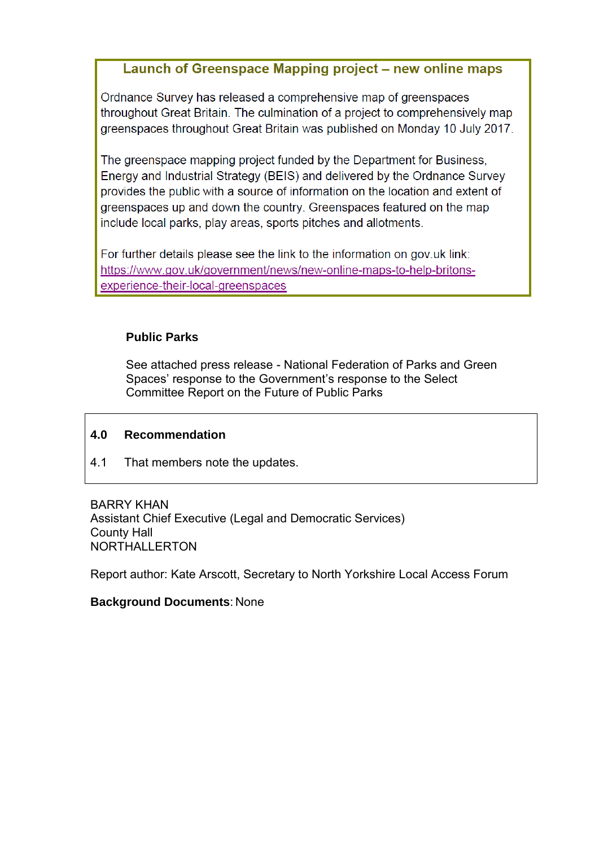## Launch of Greenspace Mapping project – new online maps

Ordnance Survey has released a comprehensive map of greenspaces throughout Great Britain. The culmination of a project to comprehensively map greenspaces throughout Great Britain was published on Monday 10 July 2017.

The greenspace mapping project funded by the Department for Business. Energy and Industrial Strategy (BEIS) and delivered by the Ordnance Survey provides the public with a source of information on the location and extent of greenspaces up and down the country. Greenspaces featured on the map include local parks, play areas, sports pitches and allotments.

For further details please see the link to the information on gov.uk link: https://www.gov.uk/government/news/new-online-maps-to-help-britonsexperience-their-local-greenspaces

## **Public Parks**

See attached press release - National Federation of Parks and Green Spaces' response to the Government's response to the Select Committee Report on the Future of Public Parks

## **4.0 Recommendation**

4.1 That members note the updates.

BARRY KHAN Assistant Chief Executive (Legal and Democratic Services) County Hall NORTHALLERTON

Report author: Kate Arscott, Secretary to North Yorkshire Local Access Forum

## **Background Documents**: None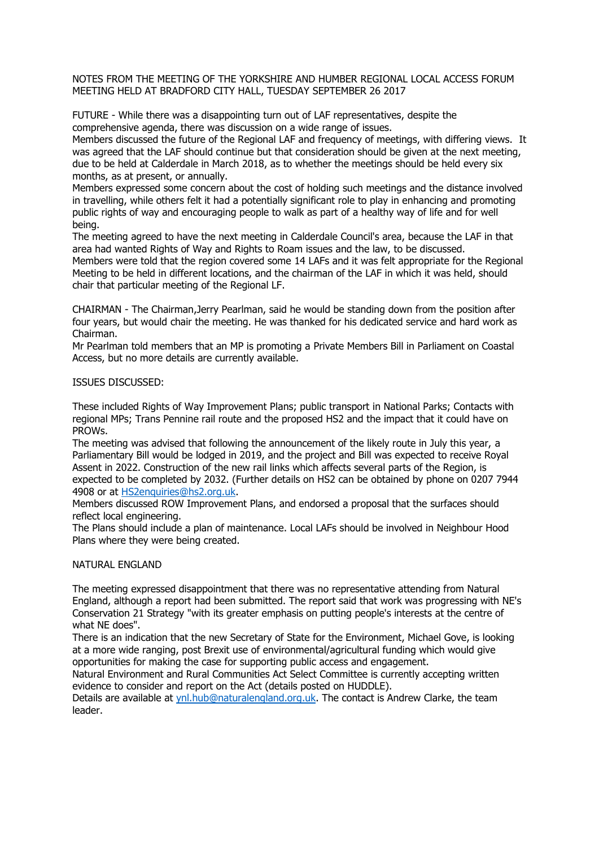NOTES FROM THE MEETING OF THE YORKSHIRE AND HUMBER REGIONAL LOCAL ACCESS FORUM MEETING HELD AT BRADFORD CITY HALL, TUESDAY SEPTEMBER 26 2017

FUTURE - While there was a disappointing turn out of LAF representatives, despite the comprehensive agenda, there was discussion on a wide range of issues.

Members discussed the future of the Regional LAF and frequency of meetings, with differing views. It was agreed that the LAF should continue but that consideration should be given at the next meeting, due to be held at Calderdale in March 2018, as to whether the meetings should be held every six months, as at present, or annually.

Members expressed some concern about the cost of holding such meetings and the distance involved in travelling, while others felt it had a potentially significant role to play in enhancing and promoting public rights of way and encouraging people to walk as part of a healthy way of life and for well being.

The meeting agreed to have the next meeting in Calderdale Council's area, because the LAF in that area had wanted Rights of Way and Rights to Roam issues and the law, to be discussed. Members were told that the region covered some 14 LAFs and it was felt appropriate for the Regional Meeting to be held in different locations, and the chairman of the LAF in which it was held, should

chair that particular meeting of the Regional LF.

CHAIRMAN - The Chairman,Jerry Pearlman, said he would be standing down from the position after four years, but would chair the meeting. He was thanked for his dedicated service and hard work as Chairman.

Mr Pearlman told members that an MP is promoting a Private Members Bill in Parliament on Coastal Access, but no more details are currently available.

ISSUES DISCUSSED:

These included Rights of Way Improvement Plans; public transport in National Parks; Contacts with regional MPs; Trans Pennine rail route and the proposed HS2 and the impact that it could have on PROWs.

The meeting was advised that following the announcement of the likely route in July this year, a Parliamentary Bill would be lodged in 2019, and the project and Bill was expected to receive Royal Assent in 2022. Construction of the new rail links which affects several parts of the Region, is expected to be completed by 2032. (Further details on HS2 can be obtained by phone on 0207 7944 4908 or at [HS2enquiries@hs2.org.uk.](mailto:HS2enquiries@hs2.org.uk)

Members discussed ROW Improvement Plans, and endorsed a proposal that the surfaces should reflect local engineering.

The Plans should include a plan of maintenance. Local LAFs should be involved in Neighbour Hood Plans where they were being created.

#### NATURAL ENGLAND

The meeting expressed disappointment that there was no representative attending from Natural England, although a report had been submitted. The report said that work was progressing with NE's Conservation 21 Strategy "with its greater emphasis on putting people's interests at the centre of what NE does".

There is an indication that the new Secretary of State for the Environment, Michael Gove, is looking at a more wide ranging, post Brexit use of environmental/agricultural funding which would give opportunities for making the case for supporting public access and engagement.

Natural Environment and Rural Communities Act Select Committee is currently accepting written evidence to consider and report on the Act (details posted on HUDDLE).

Details are available at [ynl.hub@naturalengland.org.uk.](mailto:ynl.hub@naturalengland.org.uk) The contact is Andrew Clarke, the team leader.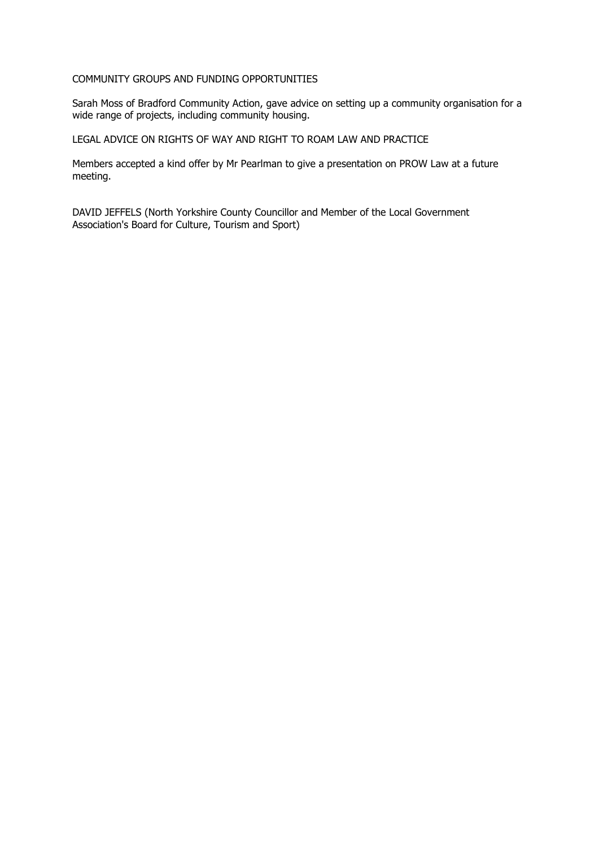#### COMMUNITY GROUPS AND FUNDING OPPORTUNITIES

Sarah Moss of Bradford Community Action, gave advice on setting up a community organisation for a wide range of projects, including community housing.

LEGAL ADVICE ON RIGHTS OF WAY AND RIGHT TO ROAM LAW AND PRACTICE

Members accepted a kind offer by Mr Pearlman to give a presentation on PROW Law at a future meeting.

DAVID JEFFELS (North Yorkshire County Councillor and Member of the Local Government Association's Board for Culture, Tourism and Sport)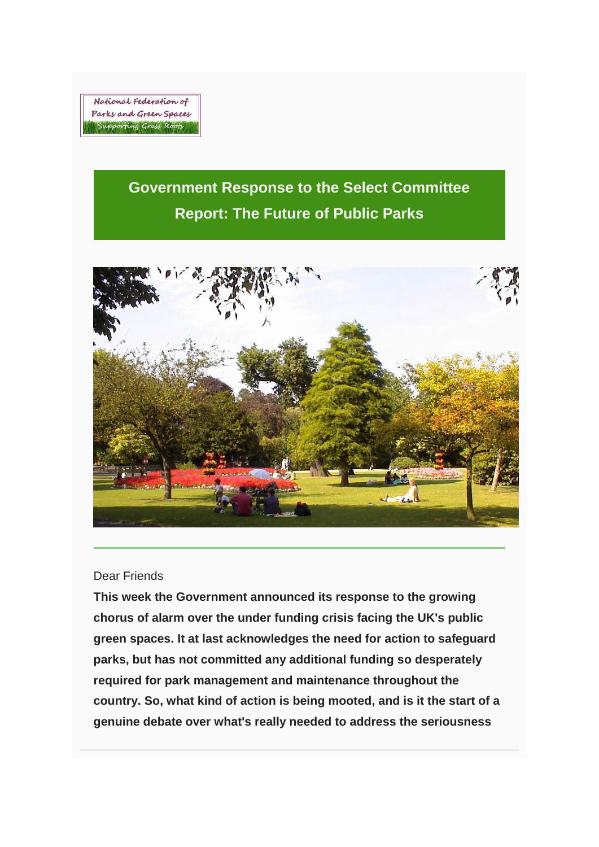National Federation of Parks and Green Spaces Supporting Grass Roots

# **Government Response to the Select Committee Report: The Future of Public Parks**



## Dear Friends

**This week the Government announced its response to the growing chorus of alarm over the under funding crisis facing the UK's public green spaces. It at last acknowledges the need for action to safeguard parks, but has not committed any additional funding so desperately required for park management and maintenance throughout the country. So, what kind of action is being mooted, and is it the start of a genuine debate over what's really needed to address the seriousness**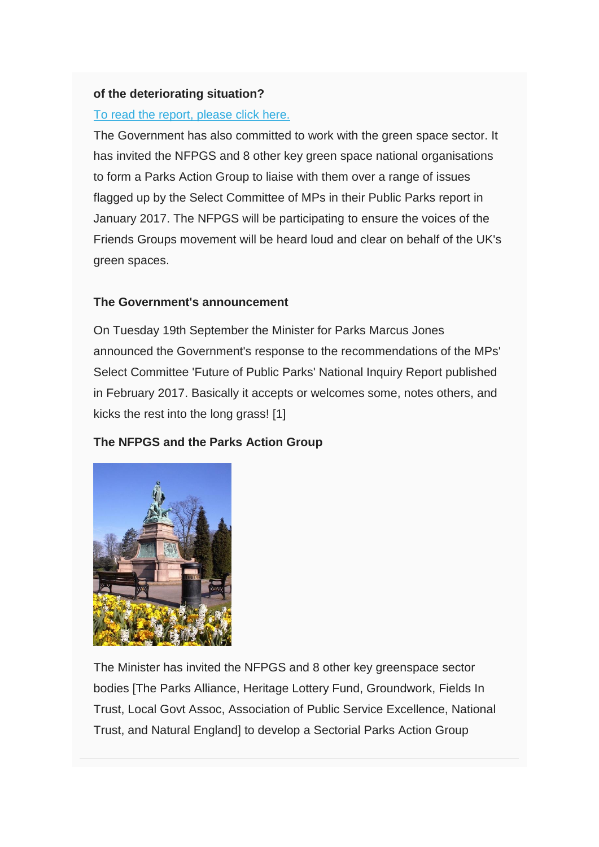## **of the deteriorating situation?**

## [To read the report, please click here.](http://natfedparks.us12.list-manage2.com/track/click?u=cf4ddd6403dff776642c637e6&id=318406639e&e=cec81c6856)

The Government has also committed to work with the green space sector. It has invited the NFPGS and 8 other key green space national organisations to form a Parks Action Group to liaise with them over a range of issues flagged up by the Select Committee of MPs in their Public Parks report in January 2017. The NFPGS will be participating to ensure the voices of the Friends Groups movement will be heard loud and clear on behalf of the UK's green spaces.

## **The Government's announcement**

On Tuesday 19th September the Minister for Parks Marcus Jones announced the Government's response to the recommendations of the MPs' Select Committee 'Future of Public Parks' National Inquiry Report published in February 2017. Basically it accepts or welcomes some, notes others, and kicks the rest into the long grass! [1]

## **The NFPGS and the Parks Action Group**



The Minister has invited the NFPGS and 8 other key greenspace sector bodies [The Parks Alliance, Heritage Lottery Fund, Groundwork, Fields In Trust, Local Govt Assoc, Association of Public Service Excellence, National Trust, and Natural England] to develop a Sectorial Parks Action Group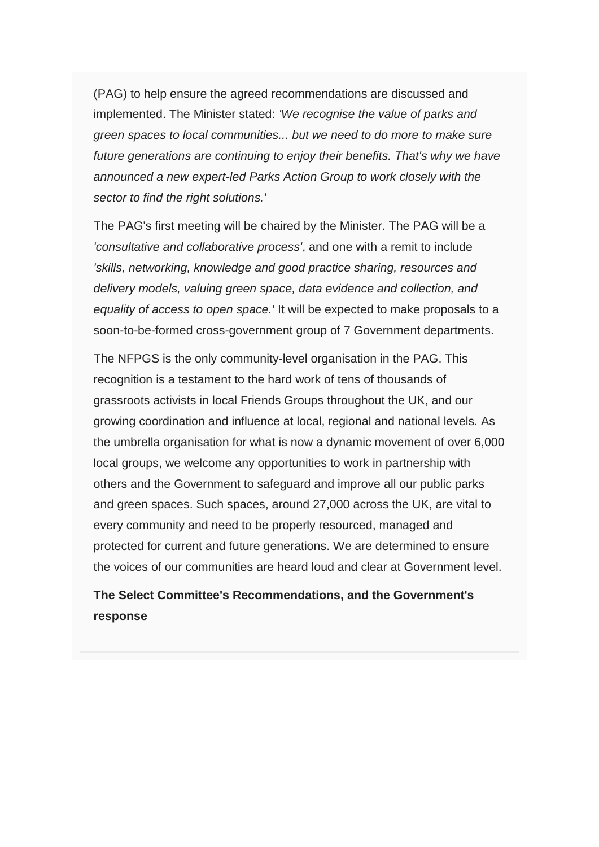(PAG) to help ensure the agreed recommendations are discussed and implemented. The Minister stated: *'We recognise the value of parks and green spaces to local communities... but we need to do more to make sure future generations are continuing to enjoy their benefits. That's why we have announced a new expert-led Parks Action Group to work closely with the sector to find the right solutions.'*

The PAG's first meeting will be chaired by the Minister. The PAG will be a *'consultative and collaborative process'*, and one with a remit to include *'skills, networking, knowledge and good practice sharing, resources and delivery models, valuing green space, data evidence and collection, and equality of access to open space.'* It will be expected to make proposals to a soon-to-be-formed cross-government group of 7 Government departments.

The NFPGS is the only community-level organisation in the PAG. This recognition is a testament to the hard work of tens of thousands of grassroots activists in local Friends Groups throughout the UK, and our growing coordination and influence at local, regional and national levels. As the umbrella organisation for what is now a dynamic movement of over 6,000 local groups, we welcome any opportunities to work in partnership with others and the Government to safeguard and improve all our public parks and green spaces. Such spaces, around 27,000 across the UK, are vital to every community and need to be properly resourced, managed and protected for current and future generations. We are determined to ensure the voices of our communities are heard loud and clear at Government level.

## **The Select Committee's Recommendations, and the Government's response**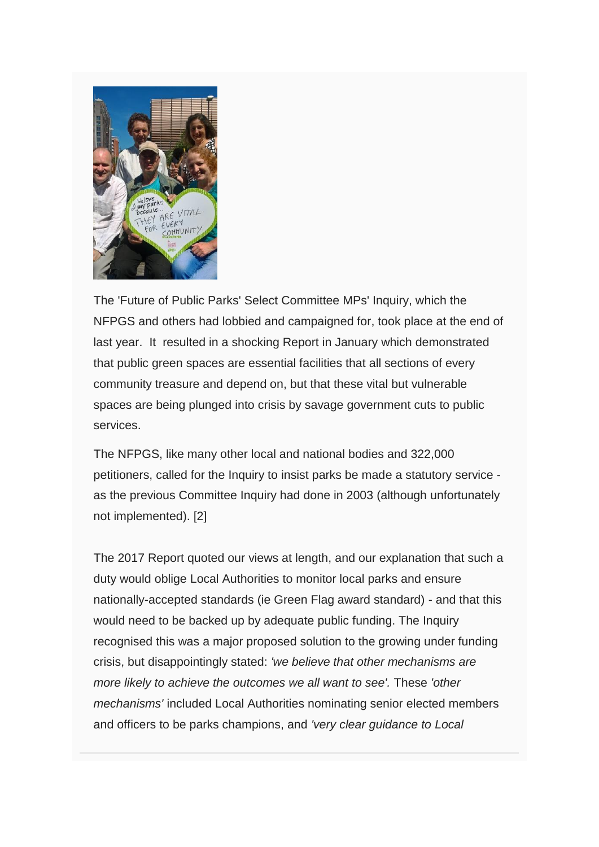

The 'Future of Public Parks' Select Committee MPs' Inquiry, which the NFPGS and others had lobbied and campaigned for, took place at the end of last year. It resulted in a shocking Report in January which demonstrated that public green spaces are essential facilities that all sections of every community treasure and depend on, but that these vital but vulnerable spaces are being plunged into crisis by savage government cuts to public services.

The NFPGS, like many other local and national bodies and 322,000 petitioners, called for the Inquiry to insist parks be made a statutory service as the previous Committee Inquiry had done in 2003 (although unfortunately not implemented). [2]

The 2017 Report quoted our views at length, and our explanation that such a duty would oblige Local Authorities to monitor local parks and ensure nationally-accepted standards (ie Green Flag award standard) - and that this would need to be backed up by adequate public funding. The Inquiry recognised this was a major proposed solution to the growing under funding crisis, but disappointingly stated: *'we believe that other mechanisms are more likely to achieve the outcomes we all want to see'.* These *'other mechanisms'* included Local Authorities nominating senior elected members and officers to be parks champions, and *'very clear guidance to Local*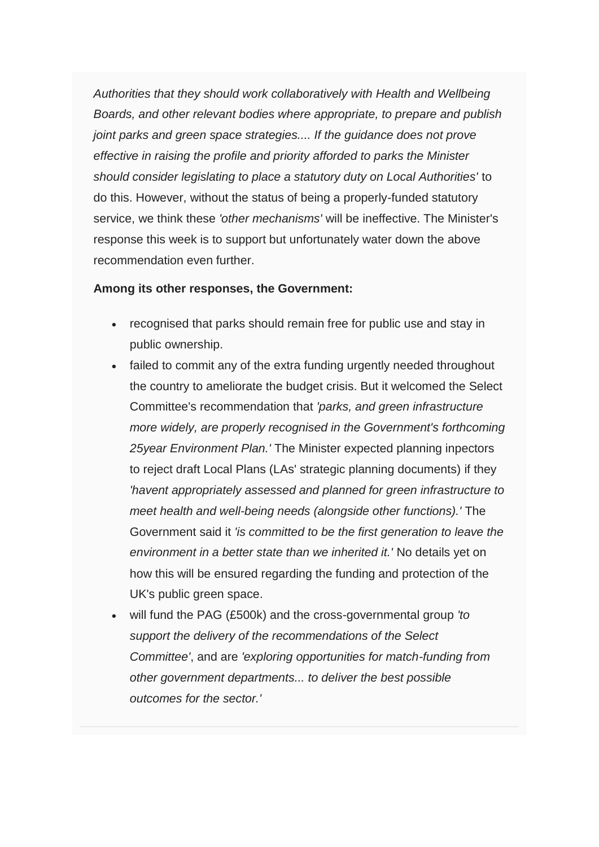*Authorities that they should work collaboratively with Health and Wellbeing Boards, and other relevant bodies where appropriate, to prepare and publish joint parks and green space strategies.... If the guidance does not prove effective in raising the profile and priority afforded to parks the Minister should consider legislating to place a statutory duty on Local Authorities'* to do this. However, without the status of being a properly-funded statutory service, we think these *'other mechanisms'* will be ineffective. The Minister's response this week is to support but unfortunately water down the above recommendation even further.

#### **Among its other responses, the Government:**

- recognised that parks should remain free for public use and stay in public ownership.
- failed to commit any of the extra funding urgently needed throughout the country to ameliorate the budget crisis. But it welcomed the Select Committee's recommendation that *'parks, and green infrastructure more widely, are properly recognised in the Government's forthcoming 25year Environment Plan.'* The Minister expected planning inpectors to reject draft Local Plans (LAs' strategic planning documents) if they *'havent appropriately assessed and planned for green infrastructure to meet health and well-being needs (alongside other functions).'* The Government said it *'is committed to be the first generation to leave the environment in a better state than we inherited it.'* No details yet on how this will be ensured regarding the funding and protection of the UK's public green space.
- will fund the PAG (£500k) and the cross-governmental group *'to support the delivery of the recommendations of the Select Committee'*, and are *'exploring opportunities for match-funding from other government departments... to deliver the best possible outcomes for the sector.'*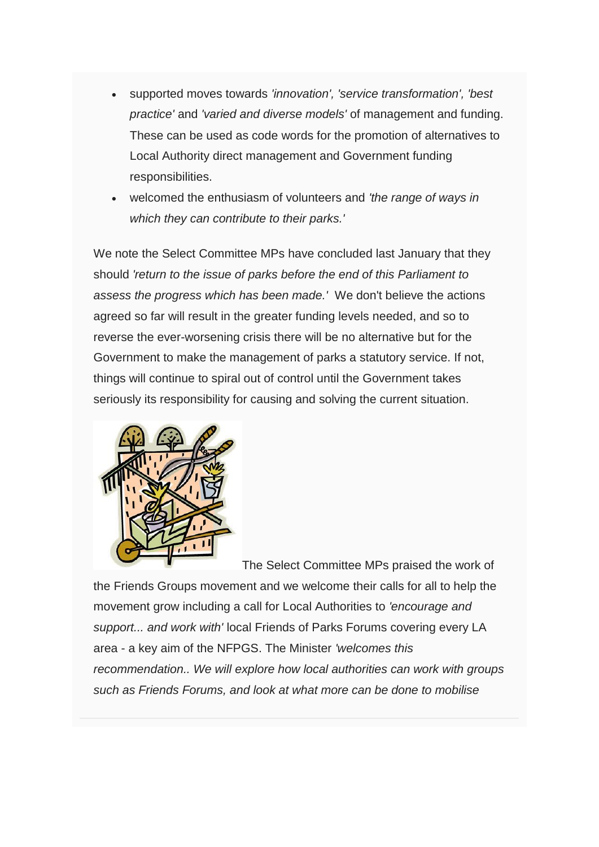- supported moves towards *'innovation', 'service transformation', 'best practice'* and *'varied and diverse models'* of management and funding. These can be used as code words for the promotion of alternatives to Local Authority direct management and Government funding responsibilities.
- welcomed the enthusiasm of volunteers and *'the range of ways in which they can contribute to their parks.'*

We note the Select Committee MPs have concluded last January that they should *'return to the issue of parks before the end of this Parliament to assess the progress which has been made.'* We don't believe the actions agreed so far will result in the greater funding levels needed, and so to reverse the ever-worsening crisis there will be no alternative but for the Government to make the management of parks a statutory service. If not, things will continue to spiral out of control until the Government takes seriously its responsibility for causing and solving the current situation.



The Select Committee MPs praised the work of

the Friends Groups movement and we welcome their calls for all to help the movement grow including a call for Local Authorities to *'encourage and support... and work with'* local Friends of Parks Forums covering every LA area - a key aim of the NFPGS. The Minister *'welcomes this recommendation.. We will explore how local authorities can work with groups such as Friends Forums, and look at what more can be done to mobilise*